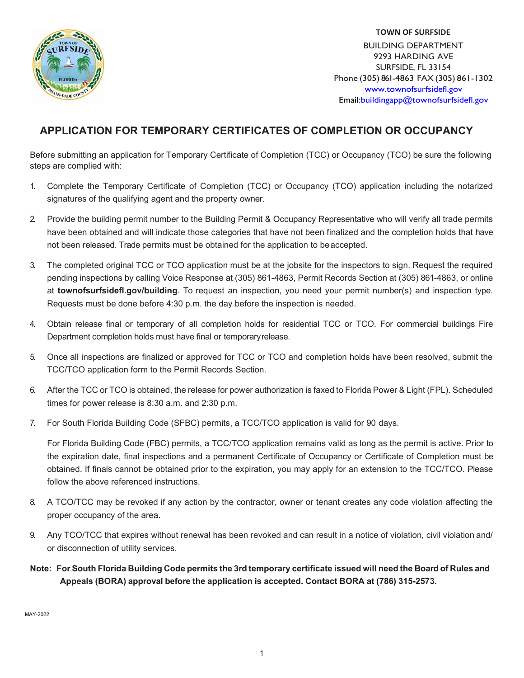

**TOWN OF SURFSIDE** BUILDING DEPARTMENT 9293 HARDING AVE SURFSIDE, FL 33154 Phone (305) 861-4863 FAX (305) 861-1302 [www.townofsurfsidefl.gov](mailto:buildingapp@townofsurfsidefl.gov) Email:buildingapp@townofsurfsidefl.gov

# **APPLICATION FOR TEMPORARY CERTIFICATES OF COMPLETION OR OCCUPANCY**

Before submitting an application for Temporary Certificate of Completion (TCC) or Occupancy (TCO) be sure the following steps are complied with:

- 1. Complete the Temporary Certificate of Completion (TCC) or Occupancy (TCO) application including the notarized signatures of the qualifying agent and the property owner.
- 2. Provide the building permit number to the Building Permit & Occupancy Representative who will verify all trade permits have been obtained and will indicate those categories that have not been finalized and the completion holds that have not been released. Trade permits must be obtained for the application to beaccepted.
- 3. The completed original TCC or TCO application must be at the jobsite for the inspectors to sign. Request the required pending inspections by calling Voice Response at (305) 861-4863, Permit Records Section at (305) 861-4863, or online at **townofsurfsidefl.gov/building**. To request an inspection, you need your permit number(s) and inspection type. Requests must be done before 4:30 p.m. the day before the inspection is needed.
- 4. Obtain release final or temporary of all completion holds for residential TCC or TCO. For commercial buildings Fire Department completion holds must have final or temporaryrelease.
- 5. Once all inspections are finalized or approved for TCC or TCO and completion holds have been resolved, submit the TCC/TCO application form to the Permit Records Section.
- 6. After the TCC or TCO is obtained, the release for power authorization is faxed to Florida Power & Light (FPL). Scheduled times for power release is 8:30 a.m. and 2:30 p.m.
- 7. For South Florida Building Code (SFBC) permits, a TCC/TCO application is valid for 90 days.

For Florida Building Code (FBC) permits, a TCC/TCO application remains valid as long as the permit is active. Prior to the expiration date, final inspections and a permanent Certificate of Occupancy or Certificate of Completion must be obtained. If finals cannot be obtained prior to the expiration, you may apply for an extension to the TCC/TCO. Please follow the above referenced instructions.

- 8. A TCO/TCC may be revoked if any action by the contractor, owner or tenant creates any code violation affecting the proper occupancy of the area.
- 9. Any TCO/TCC that expires without renewal has been revoked and can result in a notice of violation, civil violation and/ or disconnection of utility services.
- Note: For South Florida Building Code permits the 3rd temporary certificate issued will need the Board of Rules and **Appeals (BORA) approval before the application is accepted. Contact BORA at (786) 315-2573.**

MAY-2022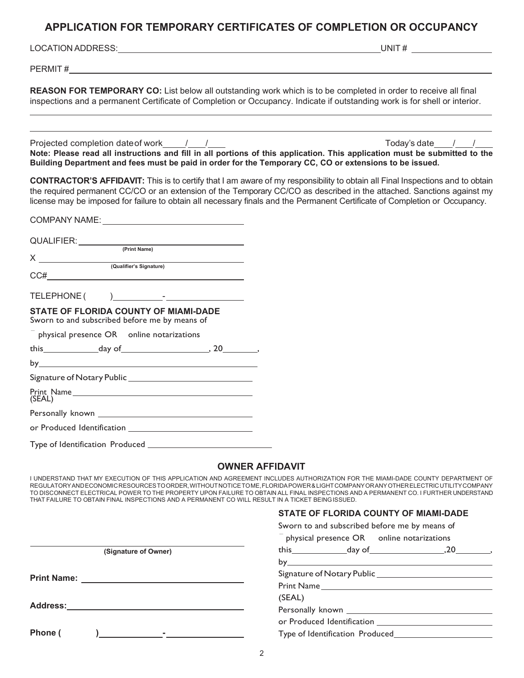## **APPLICATION FOR TEMPORARY CERTIFICATES OF COMPLETION OR OCCUPANCY**

LOCATION ADDRESS: UNIT #

PERMIT #

**REASON FOR TEMPORARY CO:** List below all outstanding work which is to be completed in order to receive all final inspections and a permanent Certificate of Completion or Occupancy. Indicate if outstanding work is for shell or interior.

Projected completion date of work  $\frac{1}{\sqrt{2}}$  /  $\frac{1}{\sqrt{2}}$  /  $\frac{1}{\sqrt{2}}$  /  $\frac{1}{\sqrt{2}}$  /  $\frac{1}{\sqrt{2}}$  /  $\frac{1}{\sqrt{2}}$  /  $\frac{1}{\sqrt{2}}$  /  $\frac{1}{\sqrt{2}}$  /  $\frac{1}{\sqrt{2}}$  /  $\frac{1}{\sqrt{2}}$  /  $\frac{1}{\sqrt{2}}$  /  $\frac{1}{\sqrt{2}}$  /  $\frac{1}{\sqrt$ **Note: Please read all instructions and fill in all portions of this application. This application must be submitted to the Building Department and fees must be paid in order for the Temporary CC, CO or extensions to be issued.**

**CONTRACTOR'S AFFIDAVIT:** This is to certify that I am aware of my responsibility to obtain all Final Inspections and to obtain the required permanent CC/CO or an extension of the Temporary CC/CO as described in the attached. Sanctions against my license may be imposed for failure to obtain all necessary finals and the Permanent Certificate of Completion or Occupancy.

| QUALIFIER: <u>Called Charles (Print Name)</u>                                                                                                                                                                                                                                                                                                                      |  |  |
|--------------------------------------------------------------------------------------------------------------------------------------------------------------------------------------------------------------------------------------------------------------------------------------------------------------------------------------------------------------------|--|--|
| $X$ $(Qualifier's Signature)$                                                                                                                                                                                                                                                                                                                                      |  |  |
| $\begin{picture}(150,10) \put(0,0){\vector(1,0){100}} \put(15,0){\vector(1,0){100}} \put(15,0){\vector(1,0){100}} \put(15,0){\vector(1,0){100}} \put(15,0){\vector(1,0){100}} \put(15,0){\vector(1,0){100}} \put(15,0){\vector(1,0){100}} \put(15,0){\vector(1,0){100}} \put(15,0){\vector(1,0){100}} \put(15,0){\vector(1,0){100}} \put(15,0){\vector(1,0){100}}$ |  |  |
|                                                                                                                                                                                                                                                                                                                                                                    |  |  |
| <b>STATE OF FLORIDA COUNTY OF MIAMI-DADE</b><br>Sworn to and subscribed before me by means of                                                                                                                                                                                                                                                                      |  |  |
| $^-$ physical presence OR online notarizations                                                                                                                                                                                                                                                                                                                     |  |  |
|                                                                                                                                                                                                                                                                                                                                                                    |  |  |
|                                                                                                                                                                                                                                                                                                                                                                    |  |  |
|                                                                                                                                                                                                                                                                                                                                                                    |  |  |
| Print Name<br>(SEAL)                                                                                                                                                                                                                                                                                                                                               |  |  |
|                                                                                                                                                                                                                                                                                                                                                                    |  |  |
|                                                                                                                                                                                                                                                                                                                                                                    |  |  |
|                                                                                                                                                                                                                                                                                                                                                                    |  |  |

## **OWNER AFFIDAVIT**

I UNDERSTAND THAT MY EXECUTION OF THIS APPLICATION AND AGREEMENT INCLUDES AUTHORIZATION FOR THE MIAMI-DADE COUNTY DEPARTMENT OF REGULATORYANDECONOMICRESOURCESTOORDER,WITHOUTNOTICETOME,FLORIDAPOWER & LIGHTCOMPANYORANYOTHERELECTRICUTILITYCOMPANY TO DISCONNECT ELECTRICAL POWER TO THE PROPERTY UPON FAILURE TO OBTAIN ALL FINAL INSPECTIONS AND A PERMANENT CO. I FURTHER UNDERSTAND THAT FAILURE TO OBTAIN FINAL INSPECTIONS AND A PERMANENT CO WILL RESULT IN A TICKET BEINGISSUED.

#### **STATE OF FLORIDA COUNTY OF MIAMI-DADE** Sworn to and subscribed before me by means of

|                                                                                                                                                                                                                                                                                                                           | Sworn to and subscribed before me by means of<br>physical presence OR _online notarizations |  |  |
|---------------------------------------------------------------------------------------------------------------------------------------------------------------------------------------------------------------------------------------------------------------------------------------------------------------------------|---------------------------------------------------------------------------------------------|--|--|
| (Signature of Owner)                                                                                                                                                                                                                                                                                                      | this $\qquad \qquad \text{day of} \qquad \qquad 20 \qquad \qquad$                           |  |  |
|                                                                                                                                                                                                                                                                                                                           |                                                                                             |  |  |
|                                                                                                                                                                                                                                                                                                                           |                                                                                             |  |  |
|                                                                                                                                                                                                                                                                                                                           |                                                                                             |  |  |
|                                                                                                                                                                                                                                                                                                                           | (SEAL)                                                                                      |  |  |
| Address: <u>Address: Address: Address:</u>                                                                                                                                                                                                                                                                                |                                                                                             |  |  |
|                                                                                                                                                                                                                                                                                                                           |                                                                                             |  |  |
| Phone (<br>) and the contract of $\mathcal{L}$ and $\mathcal{L}$ and $\mathcal{L}$ and $\mathcal{L}$ and $\mathcal{L}$ and $\mathcal{L}$ and $\mathcal{L}$ and $\mathcal{L}$ and $\mathcal{L}$ and $\mathcal{L}$ and $\mathcal{L}$ and $\mathcal{L}$ and $\mathcal{L}$ and $\mathcal{L}$ and $\mathcal{L}$ and $\mathcal$ |                                                                                             |  |  |